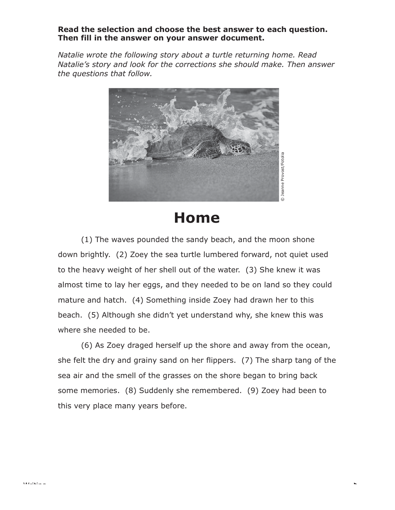## **Read the selection and choose the best answer to each question. Then fill in the answer on your answer document.**

*Natalie wrote the following story about a turtle returning home. Read Natalie's story and look for the corrections she should make. Then answer the questions that follow.*



## **Home**

(1) The waves pounded the sandy beach, and the moon shone down brightly. (2) Zoey the sea turtle lumbered forward, not quiet used to the heavy weight of her shell out of the water. (3) She knew it was almost time to lay her eggs, and they needed to be on land so they could mature and hatch. (4) Something inside Zoey had drawn her to this beach. (5) Although she didn't yet understand why, she knew this was where she needed to be.

(6) As Zoey draged herself up the shore and away from the ocean, she felt the dry and grainy sand on her flippers. (7) The sharp tang of the sea air and the smell of the grasses on the shore began to bring back some memories. (8) Suddenly she remembered. (9) Zoey had been to this very place many years before.

Writing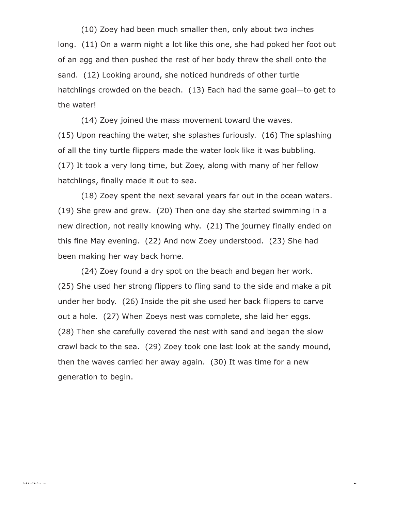(10) Zoey had been much smaller then, only about two inches long. (11) On a warm night a lot like this one, she had poked her foot out of an egg and then pushed the rest of her body threw the shell onto the sand. (12) Looking around, she noticed hundreds of other turtle hatchlings crowded on the beach. (13) Each had the same goal—to get to the water!

(14) Zoey joined the mass movement toward the waves. (15) Upon reaching the water, she splashes furiously. (16) The splashing of all the tiny turtle flippers made the water look like it was bubbling. (17) It took a very long time, but Zoey, along with many of her fellow hatchlings, finally made it out to sea.

(18) Zoey spent the next sevaral years far out in the ocean waters. (19) She grew and grew. (20) Then one day she started swimming in a new direction, not really knowing why. (21) The journey finally ended on this fine May evening. (22) And now Zoey understood. (23) She had been making her way back home.

(24) Zoey found a dry spot on the beach and began her work. (25) She used her strong flippers to fling sand to the side and make a pit under her body. (26) Inside the pit she used her back flippers to carve out a hole. (27) When Zoeys nest was complete, she laid her eggs. (28) Then she carefully covered the nest with sand and began the slow crawl back to the sea. (29) Zoey took one last look at the sandy mound, then the waves carried her away again. (30) It was time for a new generation to begin.

k.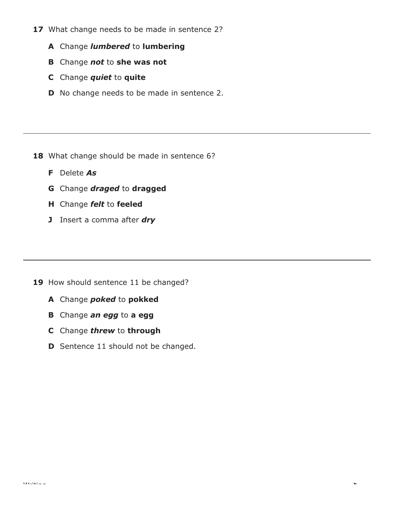- 17 What change needs to be made in sentence 2?
	- **A** Change *lumbered* to **lumbering**
	- **B** Change *not* to **she was not**
	- **C** Change *quiet* to **quite**
	- **D** No change needs to be made in sentence 2.

- 18 What change should be made in sentence 6?
	- **F** Delete *As*
	- **G** Change *draged* to **dragged**
	- **H** Change *felt* to **feeled**
	- **J** Insert a comma after *dry*

- 19 How should sentence 11 be changed?
	- **A** Change *poked* to **pokked**
	- **B** Change *an egg* to **a egg**
	- **C** Change *threw* to **through**
	- **D** Sentence 11 should not be changed.

L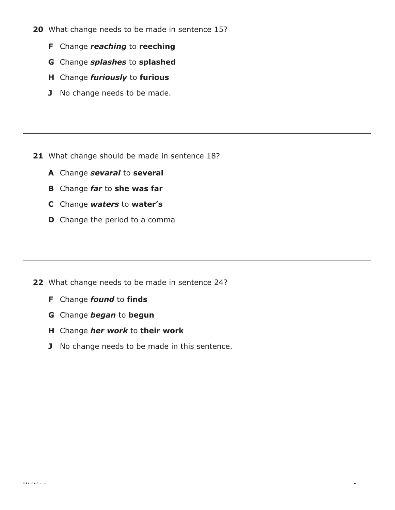- **20** What change needs to be made in sentence 15?
	- **F** Change *reaching* to **reeching**
	- **G** Change *splashes* to **splashed**
	- **H** Change *furiously* to **furious**
	- **J** No change needs to be made.

- **21** What change should be made in sentence 18?
	- **A** Change *sevaral* to **several**
	- **B** Change *far* to **she was far**
	- **C** Change *waters* to **water's**
	- **D** Change the period to a comma

- **22** What change needs to be made in sentence 24?
	- **F** Change *found* to **finds**
	- **G** Change *began* to **begun**
	- **H** Change *her work* to **their work**
	- **J** No change needs to be made in this sentence.

L